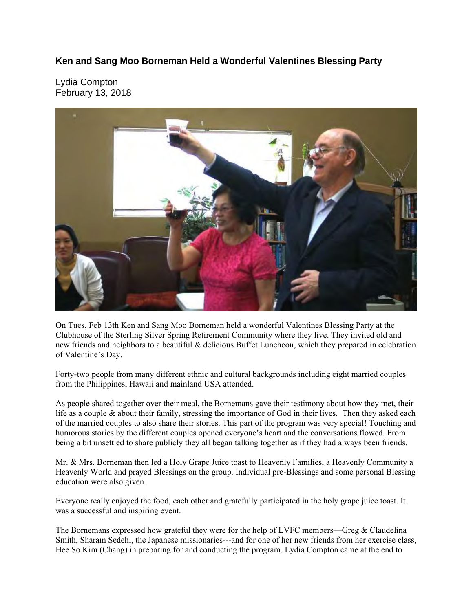## **Ken and Sang Moo Borneman Held a Wonderful Valentines Blessing Party**

Lydia Compton February 13, 2018



On Tues, Feb 13th Ken and Sang Moo Borneman held a wonderful Valentines Blessing Party at the Clubhouse of the Sterling Silver Spring Retirement Community where they live. They invited old and new friends and neighbors to a beautiful & delicious Buffet Luncheon, which they prepared in celebration of Valentine's Day.

Forty-two people from many different ethnic and cultural backgrounds including eight married couples from the Philippines, Hawaii and mainland USA attended.

As people shared together over their meal, the Bornemans gave their testimony about how they met, their life as a couple & about their family, stressing the importance of God in their lives. Then they asked each of the married couples to also share their stories. This part of the program was very special! Touching and humorous stories by the different couples opened everyone's heart and the conversations flowed. From being a bit unsettled to share publicly they all began talking together as if they had always been friends.

Mr. & Mrs. Borneman then led a Holy Grape Juice toast to Heavenly Families, a Heavenly Community a Heavenly World and prayed Blessings on the group. Individual pre-Blessings and some personal Blessing education were also given.

Everyone really enjoyed the food, each other and gratefully participated in the holy grape juice toast. It was a successful and inspiring event.

The Bornemans expressed how grateful they were for the help of LVFC members—Greg & Claudelina Smith, Sharam Sedehi, the Japanese missionaries---and for one of her new friends from her exercise class, Hee So Kim (Chang) in preparing for and conducting the program. Lydia Compton came at the end to